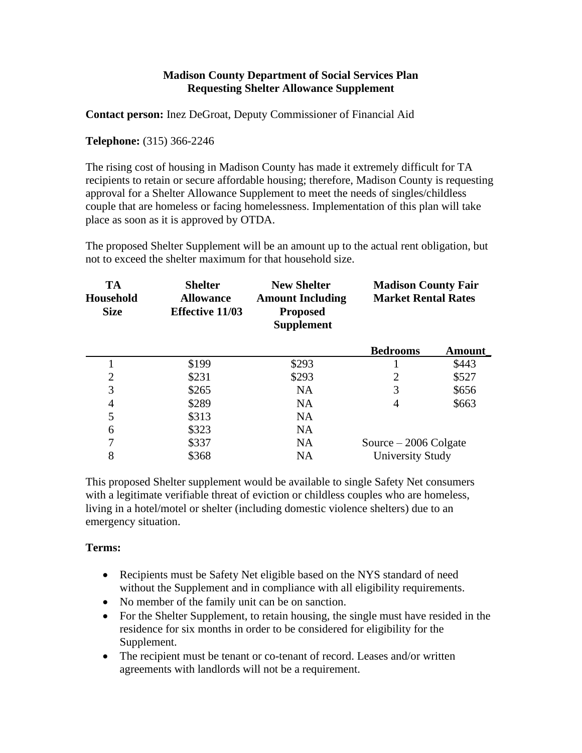## **Madison County Department of Social Services Plan Requesting Shelter Allowance Supplement**

**Contact person:** Inez DeGroat, Deputy Commissioner of Financial Aid

**Telephone:** (315) 366-2246

The rising cost of housing in Madison County has made it extremely difficult for TA recipients to retain or secure affordable housing; therefore, Madison County is requesting approval for a Shelter Allowance Supplement to meet the needs of singles/childless couple that are homeless or facing homelessness. Implementation of this plan will take place as soon as it is approved by OTDA.

The proposed Shelter Supplement will be an amount up to the actual rent obligation, but not to exceed the shelter maximum for that household size.

| <b>TA</b><br>Household<br><b>Size</b> | <b>Shelter</b><br><b>Allowance</b><br><b>Effective 11/03</b> | <b>New Shelter</b><br><b>Amount Including</b><br><b>Proposed</b><br><b>Supplement</b> | <b>Madison County Fair</b><br><b>Market Rental Rates</b> |        |
|---------------------------------------|--------------------------------------------------------------|---------------------------------------------------------------------------------------|----------------------------------------------------------|--------|
|                                       |                                                              |                                                                                       | <b>Bedrooms</b>                                          | Amount |
|                                       | \$199                                                        | \$293                                                                                 |                                                          | \$443  |
| $\overline{2}$                        | \$231                                                        | \$293                                                                                 | 2                                                        | \$527  |
| 3                                     | \$265                                                        | <b>NA</b>                                                                             | 3                                                        | \$656  |
| $\overline{4}$                        | \$289                                                        | <b>NA</b>                                                                             | 4                                                        | \$663  |
| 5                                     | \$313                                                        | <b>NA</b>                                                                             |                                                          |        |
| 6                                     | \$323                                                        | NA                                                                                    |                                                          |        |
| 7                                     | \$337                                                        | <b>NA</b>                                                                             | Source $-2006$ Colgate                                   |        |
| 8                                     | \$368                                                        | <b>NA</b>                                                                             | <b>University Study</b>                                  |        |

This proposed Shelter supplement would be available to single Safety Net consumers with a legitimate verifiable threat of eviction or childless couples who are homeless, living in a hotel/motel or shelter (including domestic violence shelters) due to an emergency situation.

## **Terms:**

- Recipients must be Safety Net eligible based on the NYS standard of need without the Supplement and in compliance with all eligibility requirements.
- No member of the family unit can be on sanction.
- For the Shelter Supplement, to retain housing, the single must have resided in the residence for six months in order to be considered for eligibility for the Supplement.
- The recipient must be tenant or co-tenant of record. Leases and/or written agreements with landlords will not be a requirement.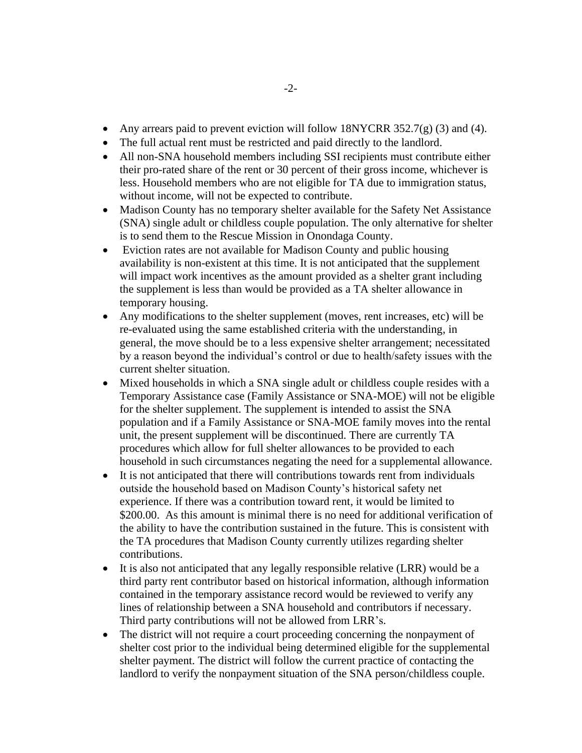- Any arrears paid to prevent eviction will follow 18NYCRR 352.7(g) (3) and (4).
- The full actual rent must be restricted and paid directly to the landlord.
- All non-SNA household members including SSI recipients must contribute either their pro-rated share of the rent or 30 percent of their gross income, whichever is less. Household members who are not eligible for TA due to immigration status, without income, will not be expected to contribute.
- Madison County has no temporary shelter available for the Safety Net Assistance (SNA) single adult or childless couple population. The only alternative for shelter is to send them to the Rescue Mission in Onondaga County.
- Eviction rates are not available for Madison County and public housing availability is non-existent at this time. It is not anticipated that the supplement will impact work incentives as the amount provided as a shelter grant including the supplement is less than would be provided as a TA shelter allowance in temporary housing.
- Any modifications to the shelter supplement (moves, rent increases, etc) will be re-evaluated using the same established criteria with the understanding, in general, the move should be to a less expensive shelter arrangement; necessitated by a reason beyond the individual's control or due to health/safety issues with the current shelter situation.
- Mixed households in which a SNA single adult or childless couple resides with a Temporary Assistance case (Family Assistance or SNA-MOE) will not be eligible for the shelter supplement. The supplement is intended to assist the SNA population and if a Family Assistance or SNA-MOE family moves into the rental unit, the present supplement will be discontinued. There are currently TA procedures which allow for full shelter allowances to be provided to each household in such circumstances negating the need for a supplemental allowance.
- It is not anticipated that there will contributions towards rent from individuals outside the household based on Madison County's historical safety net experience. If there was a contribution toward rent, it would be limited to \$200.00. As this amount is minimal there is no need for additional verification of the ability to have the contribution sustained in the future. This is consistent with the TA procedures that Madison County currently utilizes regarding shelter contributions.
- It is also not anticipated that any legally responsible relative (LRR) would be a third party rent contributor based on historical information, although information contained in the temporary assistance record would be reviewed to verify any lines of relationship between a SNA household and contributors if necessary. Third party contributions will not be allowed from LRR's.
- The district will not require a court proceeding concerning the nonpayment of shelter cost prior to the individual being determined eligible for the supplemental shelter payment. The district will follow the current practice of contacting the landlord to verify the nonpayment situation of the SNA person/childless couple.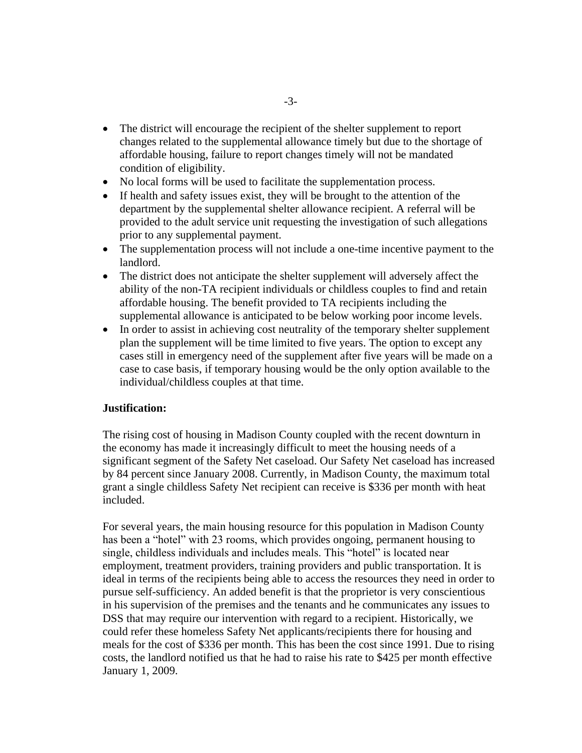- The district will encourage the recipient of the shelter supplement to report changes related to the supplemental allowance timely but due to the shortage of affordable housing, failure to report changes timely will not be mandated condition of eligibility.
- No local forms will be used to facilitate the supplementation process.
- If health and safety issues exist, they will be brought to the attention of the department by the supplemental shelter allowance recipient. A referral will be provided to the adult service unit requesting the investigation of such allegations prior to any supplemental payment.
- The supplementation process will not include a one-time incentive payment to the landlord.
- The district does not anticipate the shelter supplement will adversely affect the ability of the non-TA recipient individuals or childless couples to find and retain affordable housing. The benefit provided to TA recipients including the supplemental allowance is anticipated to be below working poor income levels.
- In order to assist in achieving cost neutrality of the temporary shelter supplement plan the supplement will be time limited to five years. The option to except any cases still in emergency need of the supplement after five years will be made on a case to case basis, if temporary housing would be the only option available to the individual/childless couples at that time.

## **Justification:**

The rising cost of housing in Madison County coupled with the recent downturn in the economy has made it increasingly difficult to meet the housing needs of a significant segment of the Safety Net caseload. Our Safety Net caseload has increased by 84 percent since January 2008. Currently, in Madison County, the maximum total grant a single childless Safety Net recipient can receive is \$336 per month with heat included.

For several years, the main housing resource for this population in Madison County has been a "hotel" with 23 rooms, which provides ongoing, permanent housing to single, childless individuals and includes meals. This "hotel" is located near employment, treatment providers, training providers and public transportation. It is ideal in terms of the recipients being able to access the resources they need in order to pursue self-sufficiency. An added benefit is that the proprietor is very conscientious in his supervision of the premises and the tenants and he communicates any issues to DSS that may require our intervention with regard to a recipient. Historically, we could refer these homeless Safety Net applicants/recipients there for housing and meals for the cost of \$336 per month. This has been the cost since 1991. Due to rising costs, the landlord notified us that he had to raise his rate to \$425 per month effective January 1, 2009.